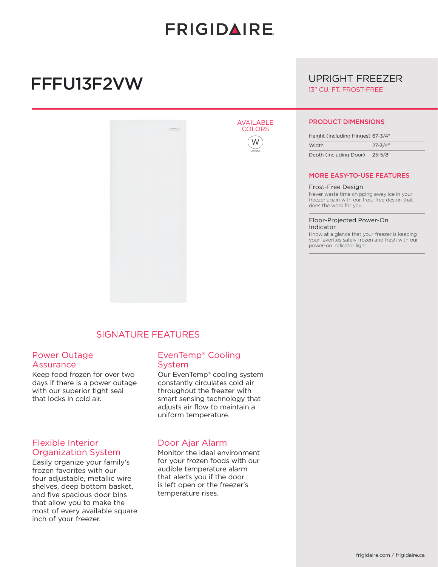# **FRIGIDAIRE**

AVAILABLE **COLORS** 

> W White

# FFFU13F2VW



# SIGNATURE FEATURES

#### Power Outage Assurance

Keep food frozen for over two days if there is a power outage with our superior tight seal that locks in cold air.

# Flexible Interior Organization System

Easily organize your family's frozen favorites with our four adjustable, metallic wire shelves, deep bottom basket, and five spacious door bins that allow you to make the most of every available square inch of your freezer.

### EvenTemp® Cooling System

Our EvenTemp® cooling system constantly circulates cold air throughout the freezer with smart sensing technology that adjusts air flow to maintain a uniform temperature.

### Door Ajar Alarm

Monitor the ideal environment for your frozen foods with our audible temperature alarm that alerts you if the door is left open or the freezer's temperature rises.

# UPRIGHT FREEZER 13" CU. FT. FROST-FREE

#### PRODUCT DIMENSIONS

| Height (Including Hinges) 67-3/4" |             |
|-----------------------------------|-------------|
| Width                             | $27 - 3/4"$ |
| Depth (Including Door)            | 25-5/8″     |

#### MORE EASY-TO-USE FEATURES

#### Frost-Free Design

Never waste time chipping away ice in your freezer again with our frost-free design that does the work for you.

#### Floor-Projected Power-On Indicator

Know at a glance that your freezer is keeping your favorites safely frozen and fresh with our power-on indicator light.